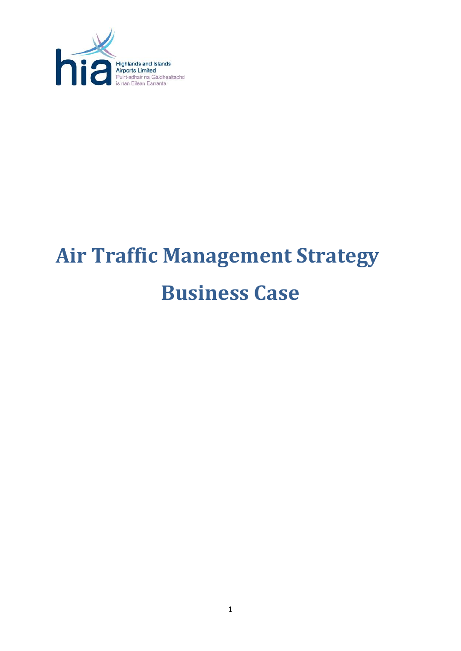

# **Air Traffic Management Strategy Business Case**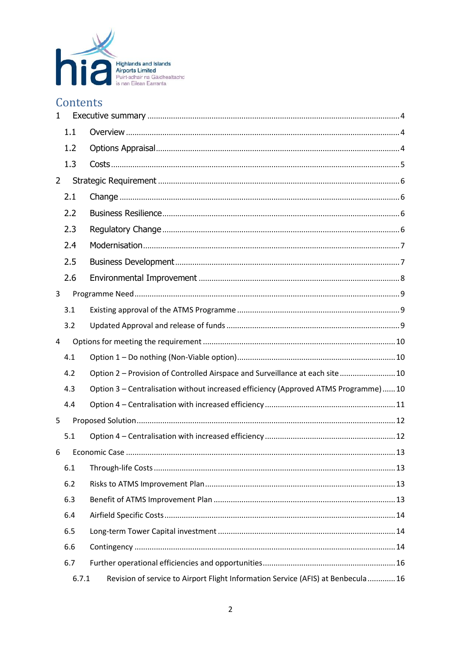

# Contents

| $\mathbf{1}$   |       |                                                                                    |  |
|----------------|-------|------------------------------------------------------------------------------------|--|
|                | 1.1   |                                                                                    |  |
|                | 1.2   |                                                                                    |  |
|                | 1.3   |                                                                                    |  |
| $\overline{2}$ |       |                                                                                    |  |
|                | 2.1   |                                                                                    |  |
|                | 2.2   |                                                                                    |  |
|                | 2.3   |                                                                                    |  |
|                | 2.4   |                                                                                    |  |
|                | 2.5   |                                                                                    |  |
|                | 2.6   |                                                                                    |  |
| 3              |       |                                                                                    |  |
|                | 3.1   |                                                                                    |  |
|                | 3.2   |                                                                                    |  |
| 4              |       |                                                                                    |  |
|                | 4.1   |                                                                                    |  |
|                | 4.2   | Option 2 - Provision of Controlled Airspace and Surveillance at each site 10       |  |
|                | 4.3   | Option 3 - Centralisation without increased efficiency (Approved ATMS Programme)10 |  |
|                | 4.4   |                                                                                    |  |
| 5              |       |                                                                                    |  |
|                | 5.1   |                                                                                    |  |
| 6              |       |                                                                                    |  |
|                | 6.1   |                                                                                    |  |
|                | 6.2   |                                                                                    |  |
|                | 6.3   |                                                                                    |  |
|                | 6.4   |                                                                                    |  |
|                | 6.5   |                                                                                    |  |
|                | 6.6   |                                                                                    |  |
|                | 6.7   |                                                                                    |  |
|                | 6.7.1 | Revision of service to Airport Flight Information Service (AFIS) at Benbecula  16  |  |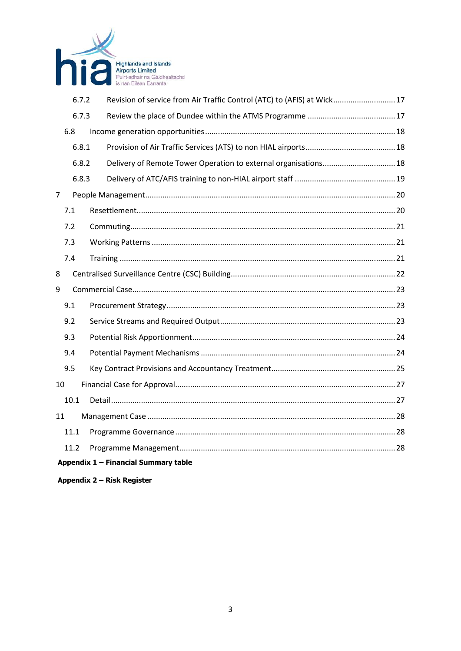

|      | 6.7.2 | Revision of service from Air Traffic Control (ATC) to (AFIS) at Wick17 |
|------|-------|------------------------------------------------------------------------|
|      | 6.7.3 |                                                                        |
| 6.8  |       |                                                                        |
|      | 6.8.1 |                                                                        |
|      | 6.8.2 | Delivery of Remote Tower Operation to external organisations 18        |
|      | 6.8.3 |                                                                        |
| 7    |       |                                                                        |
| 7.1  |       |                                                                        |
| 7.2  |       |                                                                        |
| 7.3  |       |                                                                        |
| 7.4  |       |                                                                        |
| 8    |       |                                                                        |
| 9    |       |                                                                        |
| 9.1  |       |                                                                        |
| 9.2  |       |                                                                        |
| 9.3  |       |                                                                        |
| 9.4  |       |                                                                        |
| 9.5  |       |                                                                        |
| 10   |       |                                                                        |
| 10.1 |       |                                                                        |
| 11   |       |                                                                        |
| 11.1 |       |                                                                        |
| 11.2 |       |                                                                        |
|      |       | Appendix 1 - Financial Summary table                                   |

Appendix 2 - Risk Register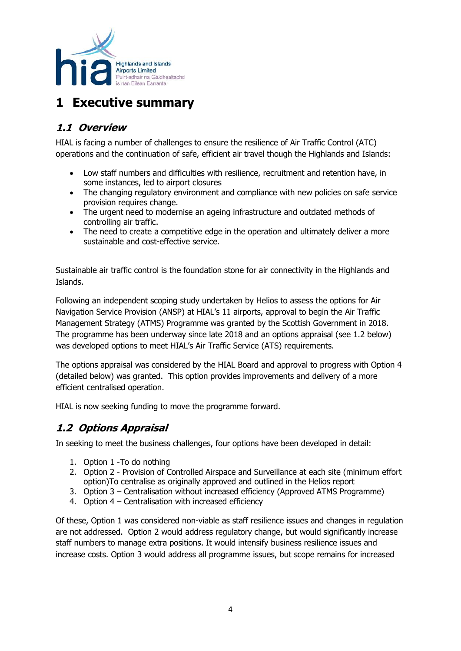

# <span id="page-3-0"></span>**1 Executive summary**

## <span id="page-3-1"></span>**1.1 Overview**

HIAL is facing a number of challenges to ensure the resilience of Air Traffic Control (ATC) operations and the continuation of safe, efficient air travel though the Highlands and Islands:

- Low staff numbers and difficulties with resilience, recruitment and retention have, in some instances, led to airport closures
- The changing regulatory environment and compliance with new policies on safe service provision requires change.
- The urgent need to modernise an ageing infrastructure and outdated methods of controlling air traffic.
- The need to create a competitive edge in the operation and ultimately deliver a more sustainable and cost-effective service.

Sustainable air traffic control is the foundation stone for air connectivity in the Highlands and Islands.

Following an independent scoping study undertaken by Helios to assess the options for Air Navigation Service Provision (ANSP) at HIAL's 11 airports, approval to begin the Air Traffic Management Strategy (ATMS) Programme was granted by the Scottish Government in 2018. The programme has been underway since late 2018 and an options appraisal (see 1.2 below) was developed options to meet HIAL's Air Traffic Service (ATS) requirements.

The options appraisal was considered by the HIAL Board and approval to progress with Option 4 (detailed below) was granted. This option provides improvements and delivery of a more efficient centralised operation.

HIAL is now seeking funding to move the programme forward.

## <span id="page-3-2"></span>**1.2 Options Appraisal**

In seeking to meet the business challenges, four options have been developed in detail:

- 1. Option 1 -To do nothing
- 2. Option 2 Provision of Controlled Airspace and Surveillance at each site (minimum effort option)To centralise as originally approved and outlined in the Helios report
- 3. Option 3 Centralisation without increased efficiency (Approved ATMS Programme)
- 4. Option 4 Centralisation with increased efficiency

Of these, Option 1 was considered non-viable as staff resilience issues and changes in regulation are not addressed. Option 2 would address regulatory change, but would significantly increase staff numbers to manage extra positions. It would intensify business resilience issues and increase costs. Option 3 would address all programme issues, but scope remains for increased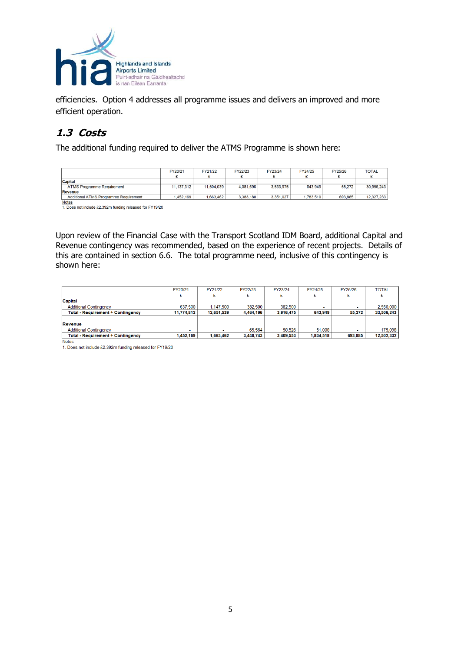

efficiencies. Option 4 addresses all programme issues and delivers an improved and more efficient operation.

#### <span id="page-4-0"></span>**1.3 Costs**

The additional funding required to deliver the ATMS Programme is shown here:

|                                              | FY20/21    | FY21/22    | FY22/23   | FY23/24   | FY24/25  | FY25/26 | <b>TOTAL</b> |
|----------------------------------------------|------------|------------|-----------|-----------|----------|---------|--------------|
| <b>Capital</b>                               |            |            |           |           |          |         |              |
| <b>ATMS Programme Requirement</b>            | 11.137.312 | 11.504.039 | 4.081.696 | 3.533.975 | 643.949  | 55.272  | 30.956.243   |
| Revenue                                      |            |            |           |           |          |         |              |
| <b>Additional ATMS Programme Requirement</b> | .452.169   | .663.462   | 3.383.180 | 3.351.027 | .783.510 | 693.885 | 12.327.233   |

Notes<br>1. Does not include £2.392m funding released for FY19/20

Upon review of the Financial Case with the Transport Scotland IDM Board, additional Capital and Revenue contingency was recommended, based on the experience of recent projects. Details of this are contained in section 6.6. The total programme need, inclusive of this contingency is shown here:

|                                          | FY20/21    | FY21/22    | FY22/23   | FY23/24   | FY24/25  | FY25/26 | <b>TOTAL</b> |
|------------------------------------------|------------|------------|-----------|-----------|----------|---------|--------------|
| <b>Capital</b>                           |            |            |           |           |          |         |              |
| <b>Additional Contingency</b>            | 637.500    | 1.147.500  | 382.500   | 382.500   |          |         | 2,550,000    |
| <b>Total - Requirement + Contingency</b> | 11.774.812 | 12.651.539 | 4,464,196 | 3,916,475 | 643,949  | 55,272  | 33.506.243   |
|                                          |            |            |           |           |          |         |              |
| Revenue                                  |            |            |           |           |          |         |              |
| <b>Additional Contingency</b>            | . .        | -          | 65.564    | 58.526    | 51.008   |         | 175.098      |
| <b>Total - Requirement + Contingency</b> | 452.169    | 1.663.462  | 3.448.743 | 3.409.553 | .834.518 | 693.885 | 12.502.332   |

**Notes** 

1. Does not include £2.392m funding released for FY19/20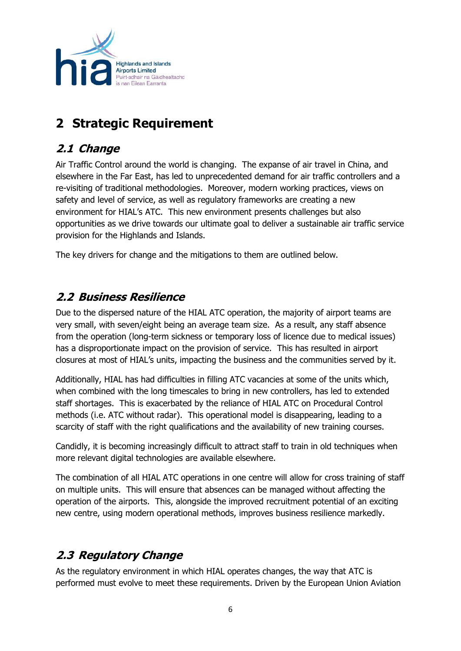

# <span id="page-5-0"></span>**2 Strategic Requirement**

# <span id="page-5-1"></span>**2.1 Change**

Air Traffic Control around the world is changing. The expanse of air travel in China, and elsewhere in the Far East, has led to unprecedented demand for air traffic controllers and a re-visiting of traditional methodologies. Moreover, modern working practices, views on safety and level of service, as well as regulatory frameworks are creating a new environment for HIAL's ATC. This new environment presents challenges but also opportunities as we drive towards our ultimate goal to deliver a sustainable air traffic service provision for the Highlands and Islands.

The key drivers for change and the mitigations to them are outlined below.

# <span id="page-5-2"></span>**2.2 Business Resilience**

Due to the dispersed nature of the HIAL ATC operation, the majority of airport teams are very small, with seven/eight being an average team size. As a result, any staff absence from the operation (long-term sickness or temporary loss of licence due to medical issues) has a disproportionate impact on the provision of service. This has resulted in airport closures at most of HIAL's units, impacting the business and the communities served by it.

Additionally, HIAL has had difficulties in filling ATC vacancies at some of the units which, when combined with the long timescales to bring in new controllers, has led to extended staff shortages. This is exacerbated by the reliance of HIAL ATC on Procedural Control methods (i.e. ATC without radar). This operational model is disappearing, leading to a scarcity of staff with the right qualifications and the availability of new training courses.

Candidly, it is becoming increasingly difficult to attract staff to train in old techniques when more relevant digital technologies are available elsewhere.

The combination of all HIAL ATC operations in one centre will allow for cross training of staff on multiple units. This will ensure that absences can be managed without affecting the operation of the airports. This, alongside the improved recruitment potential of an exciting new centre, using modern operational methods, improves business resilience markedly.

# <span id="page-5-3"></span>**2.3 Regulatory Change**

As the regulatory environment in which HIAL operates changes, the way that ATC is performed must evolve to meet these requirements. Driven by the European Union Aviation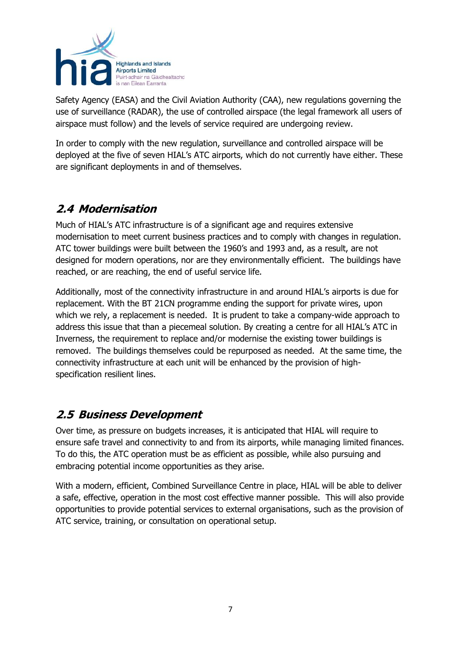

Safety Agency (EASA) and the Civil Aviation Authority (CAA), new regulations governing the use of surveillance (RADAR), the use of controlled airspace (the legal framework all users of airspace must follow) and the levels of service required are undergoing review.

In order to comply with the new regulation, surveillance and controlled airspace will be deployed at the five of seven HIAL's ATC airports, which do not currently have either. These are significant deployments in and of themselves.

# <span id="page-6-0"></span>**2.4 Modernisation**

Much of HIAL's ATC infrastructure is of a significant age and requires extensive modernisation to meet current business practices and to comply with changes in regulation. ATC tower buildings were built between the 1960's and 1993 and, as a result, are not designed for modern operations, nor are they environmentally efficient. The buildings have reached, or are reaching, the end of useful service life.

Additionally, most of the connectivity infrastructure in and around HIAL's airports is due for replacement. With the BT 21CN programme ending the support for private wires, upon which we rely, a replacement is needed. It is prudent to take a company-wide approach to address this issue that than a piecemeal solution. By creating a centre for all HIAL's ATC in Inverness, the requirement to replace and/or modernise the existing tower buildings is removed. The buildings themselves could be repurposed as needed. At the same time, the connectivity infrastructure at each unit will be enhanced by the provision of highspecification resilient lines.

# <span id="page-6-1"></span>**2.5 Business Development**

Over time, as pressure on budgets increases, it is anticipated that HIAL will require to ensure safe travel and connectivity to and from its airports, while managing limited finances. To do this, the ATC operation must be as efficient as possible, while also pursuing and embracing potential income opportunities as they arise.

With a modern, efficient, Combined Surveillance Centre in place, HIAL will be able to deliver a safe, effective, operation in the most cost effective manner possible. This will also provide opportunities to provide potential services to external organisations, such as the provision of ATC service, training, or consultation on operational setup.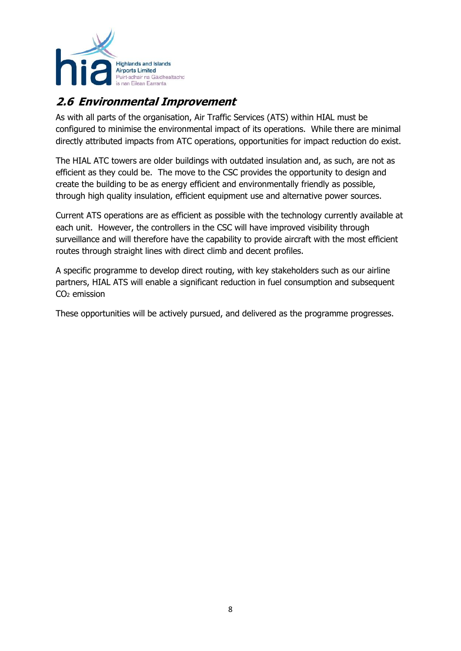

# <span id="page-7-0"></span>**2.6 Environmental Improvement**

As with all parts of the organisation, Air Traffic Services (ATS) within HIAL must be configured to minimise the environmental impact of its operations. While there are minimal directly attributed impacts from ATC operations, opportunities for impact reduction do exist.

The HIAL ATC towers are older buildings with outdated insulation and, as such, are not as efficient as they could be. The move to the CSC provides the opportunity to design and create the building to be as energy efficient and environmentally friendly as possible, through high quality insulation, efficient equipment use and alternative power sources.

Current ATS operations are as efficient as possible with the technology currently available at each unit. However, the controllers in the CSC will have improved visibility through surveillance and will therefore have the capability to provide aircraft with the most efficient routes through straight lines with direct climb and decent profiles.

A specific programme to develop direct routing, with key stakeholders such as our airline partners, HIAL ATS will enable a significant reduction in fuel consumption and subsequent CO<sup>2</sup> emission

These opportunities will be actively pursued, and delivered as the programme progresses.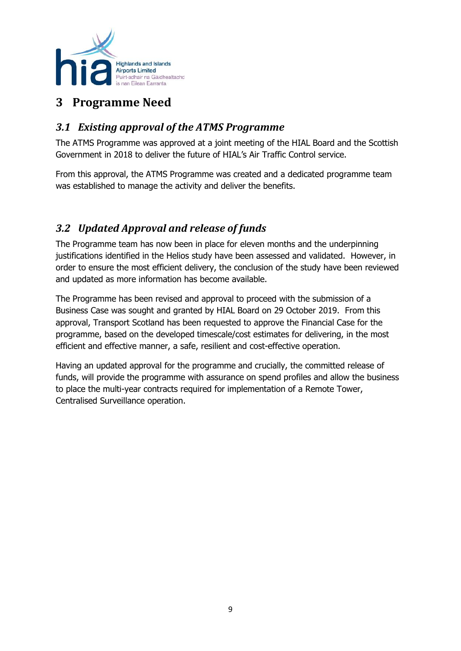

# <span id="page-8-0"></span>**3 Programme Need**

#### <span id="page-8-1"></span>*3.1 Existing approval of the ATMS Programme*

The ATMS Programme was approved at a joint meeting of the HIAL Board and the Scottish Government in 2018 to deliver the future of HIAL's Air Traffic Control service.

From this approval, the ATMS Programme was created and a dedicated programme team was established to manage the activity and deliver the benefits.

## <span id="page-8-2"></span>*3.2 Updated Approval and release of funds*

The Programme team has now been in place for eleven months and the underpinning justifications identified in the Helios study have been assessed and validated. However, in order to ensure the most efficient delivery, the conclusion of the study have been reviewed and updated as more information has become available.

The Programme has been revised and approval to proceed with the submission of a Business Case was sought and granted by HIAL Board on 29 October 2019. From this approval, Transport Scotland has been requested to approve the Financial Case for the programme, based on the developed timescale/cost estimates for delivering, in the most efficient and effective manner, a safe, resilient and cost-effective operation.

Having an updated approval for the programme and crucially, the committed release of funds, will provide the programme with assurance on spend profiles and allow the business to place the multi-year contracts required for implementation of a Remote Tower, Centralised Surveillance operation.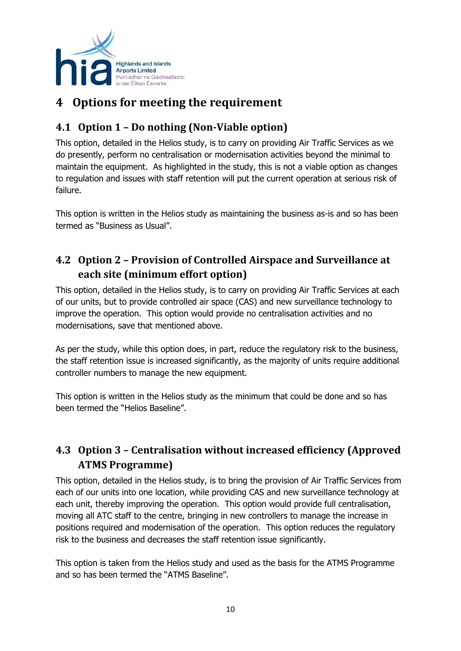

# <span id="page-9-0"></span>**4 Options for meeting the requirement**

## <span id="page-9-1"></span>**4.1 Option 1 – Do nothing (Non-Viable option)**

This option, detailed in the Helios study, is to carry on providing Air Traffic Services as we do presently, perform no centralisation or modernisation activities beyond the minimal to maintain the equipment. As highlighted in the study, this is not a viable option as changes to regulation and issues with staff retention will put the current operation at serious risk of failure.

This option is written in the Helios study as maintaining the business as-is and so has been termed as "Business as Usual".

# <span id="page-9-2"></span>**4.2 Option 2 – Provision of Controlled Airspace and Surveillance at each site (minimum effort option)**

This option, detailed in the Helios study, is to carry on providing Air Traffic Services at each of our units, but to provide controlled air space (CAS) and new surveillance technology to improve the operation. This option would provide no centralisation activities and no modernisations, save that mentioned above.

As per the study, while this option does, in part, reduce the regulatory risk to the business, the staff retention issue is increased significantly, as the majority of units require additional controller numbers to manage the new equipment.

This option is written in the Helios study as the minimum that could be done and so has been termed the "Helios Baseline".

## <span id="page-9-3"></span>**4.3 Option 3 – Centralisation without increased efficiency (Approved ATMS Programme)**

This option, detailed in the Helios study, is to bring the provision of Air Traffic Services from each of our units into one location, while providing CAS and new surveillance technology at each unit, thereby improving the operation. This option would provide full centralisation, moving all ATC staff to the centre, bringing in new controllers to manage the increase in positions required and modernisation of the operation. This option reduces the regulatory risk to the business and decreases the staff retention issue significantly.

This option is taken from the Helios study and used as the basis for the ATMS Programme and so has been termed the "ATMS Baseline".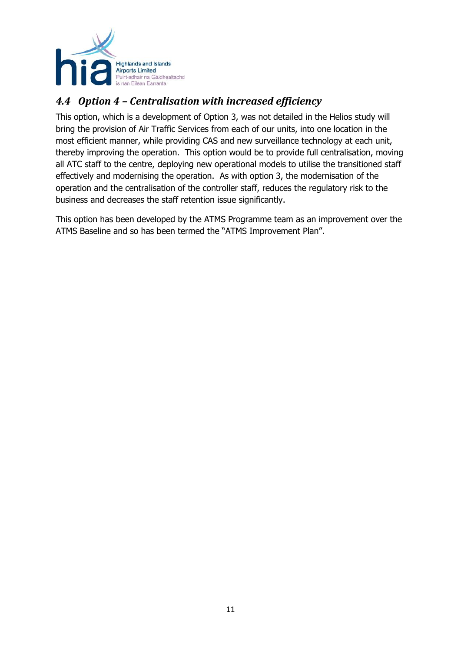

## <span id="page-10-0"></span>*4.4 Option 4 – Centralisation with increased efficiency*

This option, which is a development of Option 3, was not detailed in the Helios study will bring the provision of Air Traffic Services from each of our units, into one location in the most efficient manner, while providing CAS and new surveillance technology at each unit, thereby improving the operation. This option would be to provide full centralisation, moving all ATC staff to the centre, deploying new operational models to utilise the transitioned staff effectively and modernising the operation. As with option 3, the modernisation of the operation and the centralisation of the controller staff, reduces the regulatory risk to the business and decreases the staff retention issue significantly.

This option has been developed by the ATMS Programme team as an improvement over the ATMS Baseline and so has been termed the "ATMS Improvement Plan".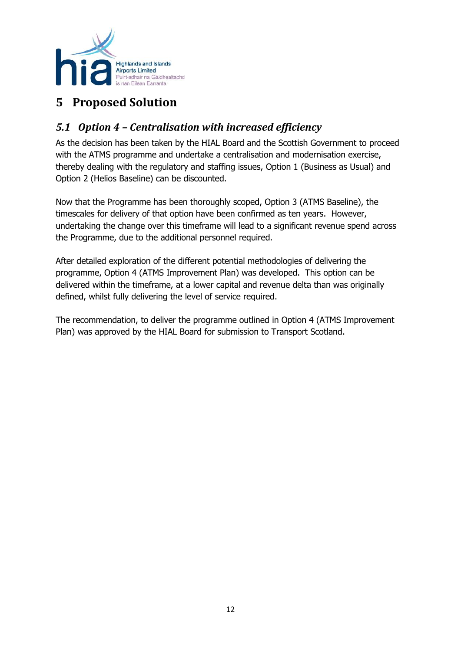

# <span id="page-11-0"></span>**5 Proposed Solution**

## <span id="page-11-1"></span>*5.1 Option 4 – Centralisation with increased efficiency*

As the decision has been taken by the HIAL Board and the Scottish Government to proceed with the ATMS programme and undertake a centralisation and modernisation exercise, thereby dealing with the regulatory and staffing issues, Option 1 (Business as Usual) and Option 2 (Helios Baseline) can be discounted.

Now that the Programme has been thoroughly scoped, Option 3 (ATMS Baseline), the timescales for delivery of that option have been confirmed as ten years. However, undertaking the change over this timeframe will lead to a significant revenue spend across the Programme, due to the additional personnel required.

After detailed exploration of the different potential methodologies of delivering the programme, Option 4 (ATMS Improvement Plan) was developed. This option can be delivered within the timeframe, at a lower capital and revenue delta than was originally defined, whilst fully delivering the level of service required.

The recommendation, to deliver the programme outlined in Option 4 (ATMS Improvement Plan) was approved by the HIAL Board for submission to Transport Scotland.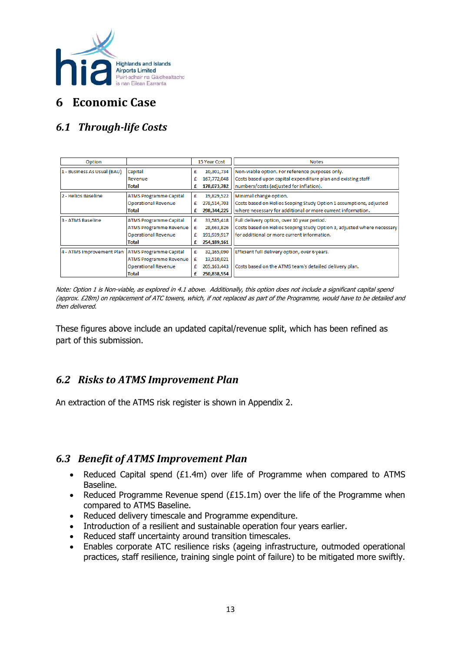

# <span id="page-12-0"></span>**6 Economic Case**

# <span id="page-12-1"></span>*6.1 Through-life Costs*

| Option                                                                                                                             |                                                                                                       |                  | 15 Year Cost                                             | <b>Notes</b>                                                                                                                                                        |  |  |  |  |  |  |  |  |
|------------------------------------------------------------------------------------------------------------------------------------|-------------------------------------------------------------------------------------------------------|------------------|----------------------------------------------------------|---------------------------------------------------------------------------------------------------------------------------------------------------------------------|--|--|--|--|--|--|--|--|
| 1 - Business As Usual (BAU)<br>Capital<br>Revenue<br><b>Total</b>                                                                  |                                                                                                       |                  | 10,301,734<br>167,772,048<br>178,073,782                 | Non-viable option. For reference purposes only.<br>Costs based upon capital expenditure plan and existing staff<br>numbers/costs (adjusted for inflation).          |  |  |  |  |  |  |  |  |
| 2 - Helios Baseline                                                                                                                | <b>ATMS Programme Capital</b><br><b>Operational Revenue</b><br><b>Total</b>                           | £<br>£<br>£      | 19,829,522<br>278,514,703<br>298,344,225                 | Minimal change option.<br>Costs based on Helios Scoping Study Option 1 assumptions, adjusted<br>where necessary for additional or more current information.         |  |  |  |  |  |  |  |  |
| 3 - ATMS Baseline                                                                                                                  | <b>ATMS Programme Capital</b><br><b>ATMS Programme Revenue</b><br><b>Operational Revenue</b><br>Total | £<br>£<br>£<br>£ | 33,585,418<br>28,663,826<br>191,939,917<br>254,189,161   | Full delivery option, over 10 year period.<br>Costs based on Helios Scoping Study Option 3, adjusted where necessary<br>for additional or more current information. |  |  |  |  |  |  |  |  |
| 4 - ATMS Improvement Plan<br><b>ATMS Programme Capital</b><br><b>ATMS Programme Revenue</b><br><b>Operational Revenue</b><br>Total |                                                                                                       | £<br>£<br>£<br>£ | 32,165,090<br>13,510,021<br>205, 163, 443<br>250,838,554 | Efficient full delivery option, over 6 years.<br>Costs based on the ATMS team's detailed delivery plan.                                                             |  |  |  |  |  |  |  |  |

Note: Option 1 is Non-viable, as explored in 4.1 above. Additionally, this option does not include a significant capital spend (approx. £28m) on replacement of ATC towers, which, if not replaced as part of the Programme, would have to be detailed and then delivered.

These figures above include an updated capital/revenue split, which has been refined as part of this submission.

#### <span id="page-12-2"></span>*6.2 Risks to ATMS Improvement Plan*

An extraction of the ATMS risk register is shown in Appendix 2.

#### <span id="page-12-3"></span>*6.3 Benefit of ATMS Improvement Plan*

- Reduced Capital spend (£1.4m) over life of Programme when compared to ATMS Baseline.
- Reduced Programme Revenue spend (£15.1m) over the life of the Programme when compared to ATMS Baseline.
- Reduced delivery timescale and Programme expenditure.
- Introduction of a resilient and sustainable operation four years earlier.
- Reduced staff uncertainty around transition timescales.
- Enables corporate ATC resilience risks (ageing infrastructure, outmoded operational practices, staff resilience, training single point of failure) to be mitigated more swiftly.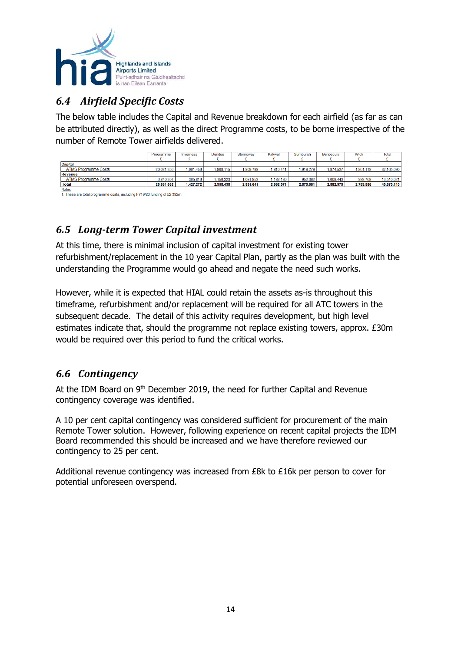

## <span id="page-13-0"></span>*6.4 Airfield Specific Costs*

The below table includes the Capital and Revenue breakdown for each airfield (as far as can be attributed directly), as well as the direct Programme costs, to be borne irrespective of the number of Remote Tower airfields delivered.

|                             | Programme  | Inverness | <b>Dundee</b> | Stornoway | Kirkwall  | Sumburgh  | <b>Benbecula</b> | <b>Wick</b> | Total      |
|-----------------------------|------------|-----------|---------------|-----------|-----------|-----------|------------------|-------------|------------|
|                             |            |           |               |           |           |           |                  |             |            |
| Capital                     |            |           |               |           |           |           |                  |             |            |
| <b>ATMS Programme Costs</b> | 20.021.356 | 1.061.456 | 1.808.115     | 1.809.788 | 1.810.441 | 1.918.279 | 1.874.537        | 1.861.118   | 32,165,090 |
| Revenue                     |            |           |               |           |           |           |                  |             |            |
| <b>ATMS Programme Costs</b> | 6,840,307  | 365,816   | .150,323      | 081,853   | 182,130   | 952.382   | 1,008,443        | 928.768     | 13,510,021 |
| Total                       | 26,861,662 | 1.427.272 | 2,958,438     | 2,891,641 | 2.992.571 | 2,870,661 | 2,882,979        | 2,789,886   | 45,675,110 |

Notes<br>1. These are total programme costs, including FY19/20 funding of £2,392m

## <span id="page-13-1"></span>*6.5 Long-term Tower Capital investment*

At this time, there is minimal inclusion of capital investment for existing tower refurbishment/replacement in the 10 year Capital Plan, partly as the plan was built with the understanding the Programme would go ahead and negate the need such works.

However, while it is expected that HIAL could retain the assets as-is throughout this timeframe, refurbishment and/or replacement will be required for all ATC towers in the subsequent decade. The detail of this activity requires development, but high level estimates indicate that, should the programme not replace existing towers, approx. £30m would be required over this period to fund the critical works.

#### <span id="page-13-2"></span>*6.6 Contingency*

At the IDM Board on 9<sup>th</sup> December 2019, the need for further Capital and Revenue contingency coverage was identified.

A 10 per cent capital contingency was considered sufficient for procurement of the main Remote Tower solution. However, following experience on recent capital projects the IDM Board recommended this should be increased and we have therefore reviewed our contingency to 25 per cent.

Additional revenue contingency was increased from £8k to £16k per person to cover for potential unforeseen overspend.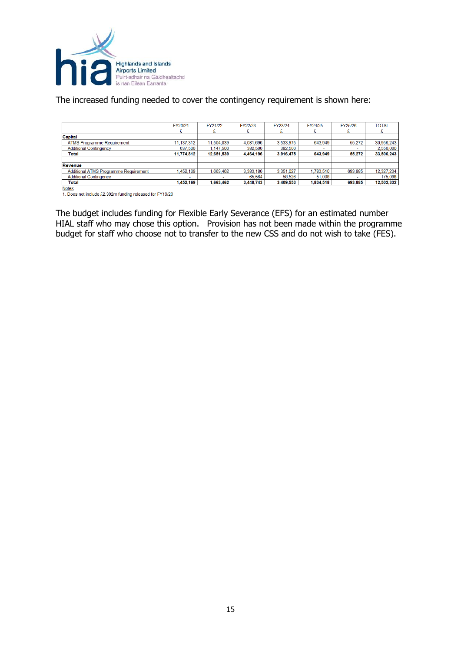

The increased funding needed to cover the contingency requirement is shown here:

|                                       | FY20/21    | FY21/22    | FY22/23   | FY23/24   | FY24/25   | FY25/26 | <b>TOTAL</b> |
|---------------------------------------|------------|------------|-----------|-----------|-----------|---------|--------------|
|                                       |            |            |           |           |           |         |              |
| <b>Capital</b>                        |            |            |           |           |           |         |              |
| <b>ATMS Programme Requirement</b>     | 11,137,312 | 11,504,039 | 4.081.696 | 3,533,975 | 643,949   | 55,272  | 30,956,243   |
| <b>Additional Contingency</b>         | 637,500    | 1.147.500  | 382,500   | 382,500   |           |         | 2,550,000    |
| <b>Total</b>                          | 11.774.812 | 12.651.539 | 4.464.196 | 3.916.475 | 643.949   | 55.272  | 33.506.243   |
|                                       |            |            |           |           |           |         |              |
| Revenue                               |            |            |           |           |           |         |              |
| Additional ATMS Programme Requirement | .452.169   | 1.663.462  | 3.383.180 | 3.351.027 | 1.783.510 | 693.885 | 12,327,234   |
| <b>Additional Contingency</b>         |            |            | 65.564    | 58.526    | 51.008    |         | 175.098      |
| Total                                 | 1,452,169  | 1,663,462  | 3,448,743 | 3,409,553 | 1,834,518 | 693.885 | 12,502,332   |

Notes<br>1. Does not include £2.392m funding released for FY19/20

The budget includes funding for Flexible Early Severance (EFS) for an estimated number HIAL staff who may chose this option. Provision has not been made within the programme budget for staff who choose not to transfer to the new CSS and do not wish to take (FES).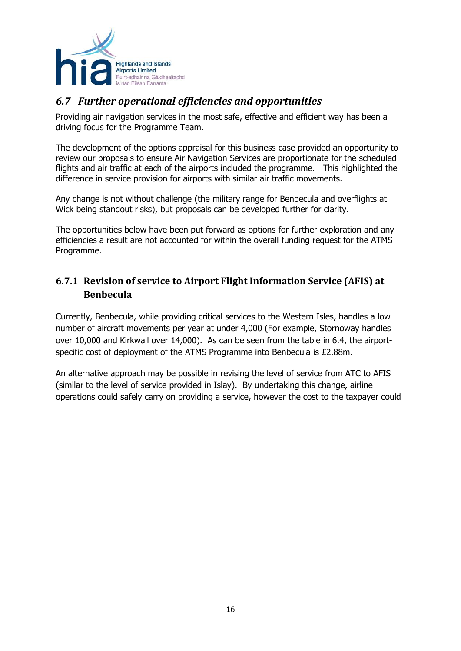

#### <span id="page-15-0"></span>*6.7 Further operational efficiencies and opportunities*

Providing air navigation services in the most safe, effective and efficient way has been a driving focus for the Programme Team.

The development of the options appraisal for this business case provided an opportunity to review our proposals to ensure Air Navigation Services are proportionate for the scheduled flights and air traffic at each of the airports included the programme. This highlighted the difference in service provision for airports with similar air traffic movements.

Any change is not without challenge (the military range for Benbecula and overflights at Wick being standout risks), but proposals can be developed further for clarity.

The opportunities below have been put forward as options for further exploration and any efficiencies a result are not accounted for within the overall funding request for the ATMS Programme.

#### <span id="page-15-1"></span>**6.7.1 Revision of service to Airport Flight Information Service (AFIS) at Benbecula**

Currently, Benbecula, while providing critical services to the Western Isles, handles a low number of aircraft movements per year at under 4,000 (For example, Stornoway handles over 10,000 and Kirkwall over 14,000). As can be seen from the table in 6.4, the airportspecific cost of deployment of the ATMS Programme into Benbecula is £2.88m.

An alternative approach may be possible in revising the level of service from ATC to AFIS (similar to the level of service provided in Islay). By undertaking this change, airline operations could safely carry on providing a service, however the cost to the taxpayer could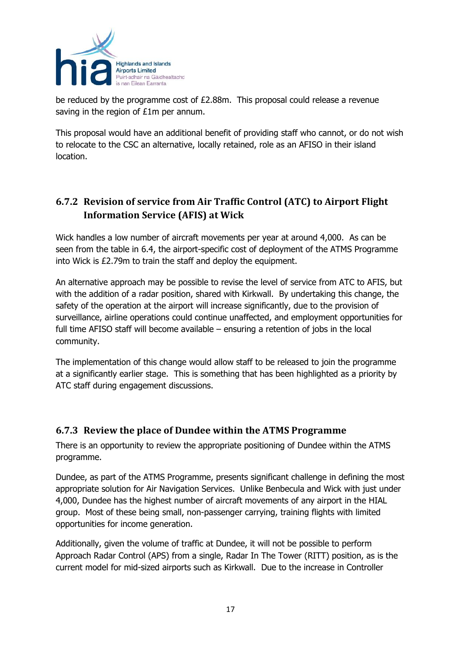

be reduced by the programme cost of £2.88m. This proposal could release a revenue saving in the region of £1m per annum.

This proposal would have an additional benefit of providing staff who cannot, or do not wish to relocate to the CSC an alternative, locally retained, role as an AFISO in their island location.

#### <span id="page-16-0"></span>**6.7.2 Revision of service from Air Traffic Control (ATC) to Airport Flight Information Service (AFIS) at Wick**

Wick handles a low number of aircraft movements per year at around 4,000. As can be seen from the table in 6.4, the airport-specific cost of deployment of the ATMS Programme into Wick is £2.79m to train the staff and deploy the equipment.

An alternative approach may be possible to revise the level of service from ATC to AFIS, but with the addition of a radar position, shared with Kirkwall. By undertaking this change, the safety of the operation at the airport will increase significantly, due to the provision of surveillance, airline operations could continue unaffected, and employment opportunities for full time AFISO staff will become available – ensuring a retention of jobs in the local community.

The implementation of this change would allow staff to be released to join the programme at a significantly earlier stage. This is something that has been highlighted as a priority by ATC staff during engagement discussions.

#### <span id="page-16-1"></span>**6.7.3 Review the place of Dundee within the ATMS Programme**

There is an opportunity to review the appropriate positioning of Dundee within the ATMS programme.

Dundee, as part of the ATMS Programme, presents significant challenge in defining the most appropriate solution for Air Navigation Services. Unlike Benbecula and Wick with just under 4,000, Dundee has the highest number of aircraft movements of any airport in the HIAL group. Most of these being small, non-passenger carrying, training flights with limited opportunities for income generation.

Additionally, given the volume of traffic at Dundee, it will not be possible to perform Approach Radar Control (APS) from a single, Radar In The Tower (RITT) position, as is the current model for mid-sized airports such as Kirkwall. Due to the increase in Controller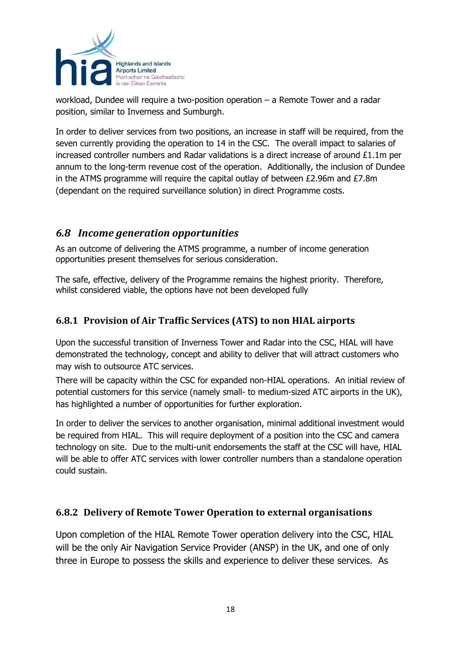

workload, Dundee will require a two-position operation – a Remote Tower and a radar position, similar to Inverness and Sumburgh.

In order to deliver services from two positions, an increase in staff will be required, from the seven currently providing the operation to 14 in the CSC. The overall impact to salaries of increased controller numbers and Radar validations is a direct increase of around £1.1m per annum to the long-term revenue cost of the operation. Additionally, the inclusion of Dundee in the ATMS programme will require the capital outlay of between £2.96m and £7.8m (dependant on the required surveillance solution) in direct Programme costs.

#### <span id="page-17-0"></span>*6.8 Income generation opportunities*

As an outcome of delivering the ATMS programme, a number of income generation opportunities present themselves for serious consideration.

The safe, effective, delivery of the Programme remains the highest priority. Therefore, whilst considered viable, the options have not been developed fully

#### <span id="page-17-1"></span>**6.8.1 Provision of Air Traffic Services (ATS) to non HIAL airports**

Upon the successful transition of Inverness Tower and Radar into the CSC, HIAL will have demonstrated the technology, concept and ability to deliver that will attract customers who may wish to outsource ATC services.

There will be capacity within the CSC for expanded non-HIAL operations. An initial review of potential customers for this service (namely small- to medium-sized ATC airports in the UK), has highlighted a number of opportunities for further exploration.

In order to deliver the services to another organisation, minimal additional investment would be required from HIAL. This will require deployment of a position into the CSC and camera technology on site. Due to the multi-unit endorsements the staff at the CSC will have, HIAL will be able to offer ATC services with lower controller numbers than a standalone operation could sustain.

#### <span id="page-17-2"></span>**6.8.2 Delivery of Remote Tower Operation to external organisations**

Upon completion of the HIAL Remote Tower operation delivery into the CSC, HIAL will be the only Air Navigation Service Provider (ANSP) in the UK, and one of only three in Europe to possess the skills and experience to deliver these services. As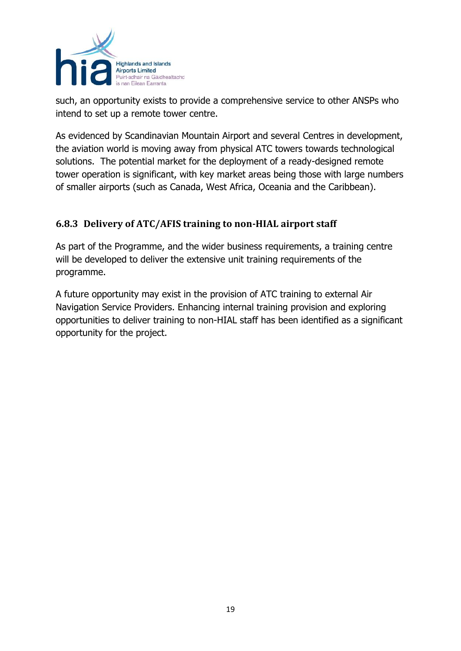

such, an opportunity exists to provide a comprehensive service to other ANSPs who intend to set up a remote tower centre.

As evidenced by Scandinavian Mountain Airport and several Centres in development, the aviation world is moving away from physical ATC towers towards technological solutions. The potential market for the deployment of a ready-designed remote tower operation is significant, with key market areas being those with large numbers of smaller airports (such as Canada, West Africa, Oceania and the Caribbean).

#### <span id="page-18-0"></span>**6.8.3 Delivery of ATC/AFIS training to non-HIAL airport staff**

As part of the Programme, and the wider business requirements, a training centre will be developed to deliver the extensive unit training requirements of the programme.

A future opportunity may exist in the provision of ATC training to external Air Navigation Service Providers. Enhancing internal training provision and exploring opportunities to deliver training to non-HIAL staff has been identified as a significant opportunity for the project.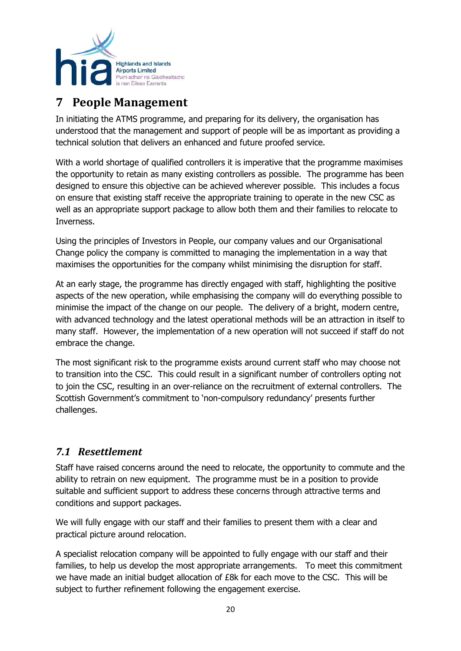

# <span id="page-19-0"></span>**7 People Management**

In initiating the ATMS programme, and preparing for its delivery, the organisation has understood that the management and support of people will be as important as providing a technical solution that delivers an enhanced and future proofed service.

With a world shortage of qualified controllers it is imperative that the programme maximises the opportunity to retain as many existing controllers as possible. The programme has been designed to ensure this objective can be achieved wherever possible. This includes a focus on ensure that existing staff receive the appropriate training to operate in the new CSC as well as an appropriate support package to allow both them and their families to relocate to Inverness.

Using the principles of Investors in People, our company values and our Organisational Change policy the company is committed to managing the implementation in a way that maximises the opportunities for the company whilst minimising the disruption for staff.

At an early stage, the programme has directly engaged with staff, highlighting the positive aspects of the new operation, while emphasising the company will do everything possible to minimise the impact of the change on our people. The delivery of a bright, modern centre, with advanced technology and the latest operational methods will be an attraction in itself to many staff. However, the implementation of a new operation will not succeed if staff do not embrace the change.

The most significant risk to the programme exists around current staff who may choose not to transition into the CSC. This could result in a significant number of controllers opting not to join the CSC, resulting in an over-reliance on the recruitment of external controllers. The Scottish Government's commitment to 'non-compulsory redundancy' presents further challenges.

#### <span id="page-19-1"></span>*7.1 Resettlement*

Staff have raised concerns around the need to relocate, the opportunity to commute and the ability to retrain on new equipment. The programme must be in a position to provide suitable and sufficient support to address these concerns through attractive terms and conditions and support packages.

We will fully engage with our staff and their families to present them with a clear and practical picture around relocation.

A specialist relocation company will be appointed to fully engage with our staff and their families, to help us develop the most appropriate arrangements. To meet this commitment we have made an initial budget allocation of £8k for each move to the CSC. This will be subject to further refinement following the engagement exercise.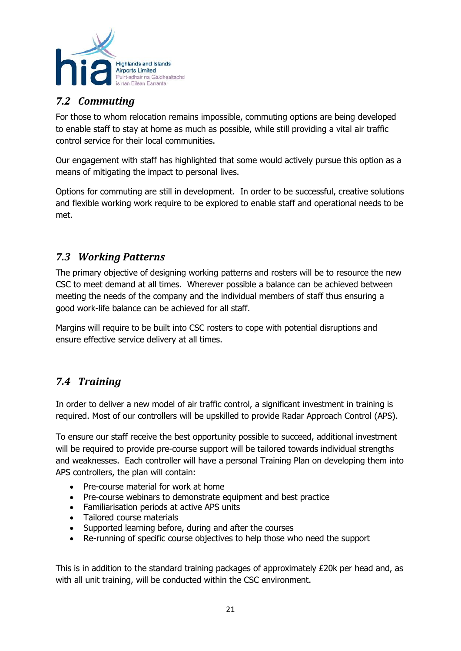

## <span id="page-20-0"></span>*7.2 Commuting*

For those to whom relocation remains impossible, commuting options are being developed to enable staff to stay at home as much as possible, while still providing a vital air traffic control service for their local communities.

Our engagement with staff has highlighted that some would actively pursue this option as a means of mitigating the impact to personal lives.

Options for commuting are still in development. In order to be successful, creative solutions and flexible working work require to be explored to enable staff and operational needs to be met.

#### <span id="page-20-1"></span>*7.3 Working Patterns*

The primary objective of designing working patterns and rosters will be to resource the new CSC to meet demand at all times. Wherever possible a balance can be achieved between meeting the needs of the company and the individual members of staff thus ensuring a good work-life balance can be achieved for all staff.

Margins will require to be built into CSC rosters to cope with potential disruptions and ensure effective service delivery at all times.

#### <span id="page-20-2"></span>*7.4 Training*

In order to deliver a new model of air traffic control, a significant investment in training is required. Most of our controllers will be upskilled to provide Radar Approach Control (APS).

To ensure our staff receive the best opportunity possible to succeed, additional investment will be required to provide pre-course support will be tailored towards individual strengths and weaknesses. Each controller will have a personal Training Plan on developing them into APS controllers, the plan will contain:

- Pre-course material for work at home
- Pre-course webinars to demonstrate equipment and best practice
- Familiarisation periods at active APS units
- Tailored course materials
- Supported learning before, during and after the courses
- Re-running of specific course objectives to help those who need the support

This is in addition to the standard training packages of approximately  $E20k$  per head and, as with all unit training, will be conducted within the CSC environment.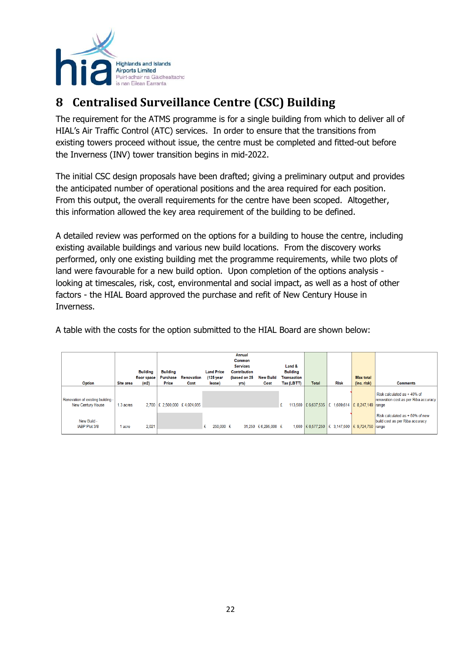

# <span id="page-21-0"></span>**8 Centralised Surveillance Centre (CSC) Building**

The requirement for the ATMS programme is for a single building from which to deliver all of HIAL's Air Traffic Control (ATC) services. In order to ensure that the transitions from existing towers proceed without issue, the centre must be completed and fitted-out before the Inverness (INV) tower transition begins in mid-2022.

The initial CSC design proposals have been drafted; giving a preliminary output and provides the anticipated number of operational positions and the area required for each position. From this output, the overall requirements for the centre have been scoped. Altogether, this information allowed the key area requirement of the building to be defined.

A detailed review was performed on the options for a building to house the centre, including existing available buildings and various new build locations. From the discovery works performed, only one existing building met the programme requirements, while two plots of land were favourable for a new build option. Upon completion of the options analysis looking at timescales, risk, cost, environmental and social impact, as well as a host of other factors - the HIAL Board approved the purchase and refit of New Century House in Inverness.

A table with the costs for the option submitted to the HIAL Board are shown below:

| <b>Option</b>                     | <b>Site area</b> | <b>Building</b><br>floor space<br>(m2) | <b>Building</b><br>Purchase<br>Price | Renovation<br>Cost | <b>Land Price</b><br>$(125$ year<br>lease) | Annual<br>Common<br><b>Services</b><br><b>Contribution</b><br>(based on 25 | <b>New Build</b><br>Cost | Land &<br><b>Building</b><br><b>Transaction</b><br>Tax (LBTT) | <b>Total</b> | <b>Risk</b>                                             | <b>Max total</b><br>(inc. risk) | <b>Comments</b>                                                    |
|-----------------------------------|------------------|----------------------------------------|--------------------------------------|--------------------|--------------------------------------------|----------------------------------------------------------------------------|--------------------------|---------------------------------------------------------------|--------------|---------------------------------------------------------|---------------------------------|--------------------------------------------------------------------|
|                                   |                  |                                        |                                      |                    |                                            | yrs)                                                                       |                          |                                                               |              |                                                         |                                 |                                                                    |
| Renovation of existing building - |                  |                                        |                                      |                    |                                            |                                                                            |                          |                                                               |              |                                                         |                                 | Risk calculated as +40% of<br>renovation cost as per Riba accuracy |
| New Century House                 | 1.3 acres        |                                        | 2,700   £ 2,500,000 £ 4,024,035      |                    |                                            |                                                                            |                          | £                                                             |              | 113,500 £ 6,637,535 £ 1,609,614 £ 8,247,149 range       |                                 |                                                                    |
|                                   |                  |                                        |                                      |                    |                                            |                                                                            |                          |                                                               |              |                                                         |                                 | Risk calculated as + 50% of new                                    |
| New Build -<br>IABP Plot 3/8      | l acre           | 2.021                                  |                                      |                    | 250,000 £<br>£                             |                                                                            | 31,250 £6,295,000 £      |                                                               |              | 1,000   £ 6,577,250   £ 3,147,500   £ 9,724,750   range |                                 | build cost as per Riba accuracy                                    |
|                                   |                  |                                        |                                      |                    |                                            |                                                                            |                          |                                                               |              |                                                         |                                 |                                                                    |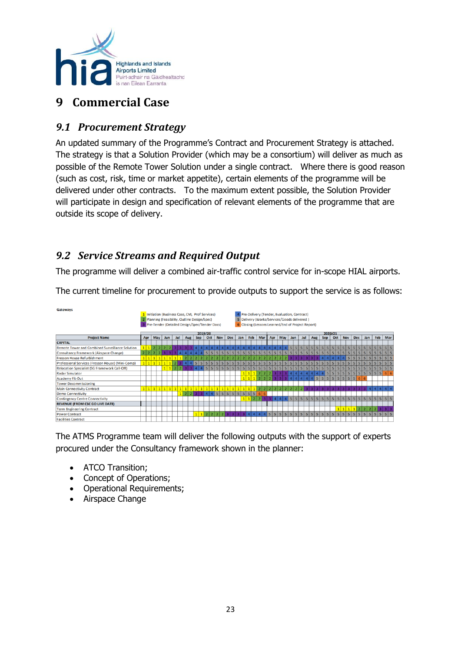

# <span id="page-22-0"></span>**9 Commercial Case**

## <span id="page-22-1"></span>*9.1 Procurement Strategy*

An updated summary of the Programme's Contract and Procurement Strategy is attached. The strategy is that a Solution Provider (which may be a consortium) will deliver as much as possible of the Remote Tower Solution under a single contract. Where there is good reason (such as cost, risk, time or market appetite), certain elements of the programme will be delivered under other contracts. To the maximum extent possible, the Solution Provider will participate in design and specification of relevant elements of the programme that are outside its scope of delivery.

## <span id="page-22-2"></span>*9.2 Service Streams and Required Output*

The programme will deliver a combined air-traffic control service for in-scope HIAL airports.

The current timeline for procurement to provide outputs to support the service is as follows:

| Gateways                                          |     |  |     |     |     |                                                 |     |                |   |                         |            |            |  |     |  |     |  |     |                                                                                                          |  |  |  |  |  |  |  |  |  |  |     |                |   |   |                |                |  |
|---------------------------------------------------|-----|--|-----|-----|-----|-------------------------------------------------|-----|----------------|---|-------------------------|------------|------------|--|-----|--|-----|--|-----|----------------------------------------------------------------------------------------------------------|--|--|--|--|--|--|--|--|--|--|-----|----------------|---|---|----------------|----------------|--|
|                                                   |     |  |     |     |     | 1 Initiation (Business Case, CM, Prof Services) |     |                |   |                         |            |            |  |     |  |     |  |     | 4 Pre-Delivery (Tender, Evaluation, Contract)                                                            |  |  |  |  |  |  |  |  |  |  |     |                |   |   |                |                |  |
|                                                   |     |  |     |     |     | Planning (Feasibility, Outline Design/Spec)     |     |                |   |                         |            |            |  |     |  |     |  |     | 5 Delivery (Works/Services/Goods delivered)                                                              |  |  |  |  |  |  |  |  |  |  |     |                |   |   |                |                |  |
|                                                   |     |  |     |     |     | Pre-Tender (Detailed Design/Spec/Tender Docs)   |     |                |   |                         |            |            |  |     |  |     |  |     | 6 Closing (Lessons Learned/End of Project Report)                                                        |  |  |  |  |  |  |  |  |  |  |     |                |   |   |                |                |  |
|                                                   |     |  |     |     |     |                                                 |     |                |   |                         |            |            |  |     |  |     |  |     |                                                                                                          |  |  |  |  |  |  |  |  |  |  |     |                |   |   |                |                |  |
| <b>Project Name</b>                               | Apr |  | May | Jun | Jul |                                                 | Aug | 2019/20<br>Sep |   | Oct                     | <b>Nov</b> | <b>Dec</b> |  | Jan |  | Feb |  | Mar | 2020/21<br>May  <br><b>Nov</b><br><b>Dec</b><br>Aug<br>Sep<br>Oct<br>Feb<br>Jun<br>Jul  <br>Apr  <br>Jan |  |  |  |  |  |  |  |  |  |  | Mar |                |   |   |                |                |  |
| <b>CAPITAL</b>                                    |     |  |     |     |     |                                                 |     |                |   |                         |            |            |  |     |  |     |  |     |                                                                                                          |  |  |  |  |  |  |  |  |  |  |     |                |   |   |                |                |  |
| Remote Tower and Combined Surveillance Solution   |     |  |     |     |     |                                                 |     |                |   |                         |            |            |  |     |  |     |  |     |                                                                                                          |  |  |  |  |  |  |  |  |  |  |     |                |   |   |                |                |  |
|                                                   |     |  |     |     |     |                                                 |     |                |   |                         |            |            |  |     |  |     |  |     |                                                                                                          |  |  |  |  |  |  |  |  |  |  |     |                |   |   |                |                |  |
| Consultancy Framework (Airspace Change)           |     |  |     |     |     |                                                 |     |                |   |                         |            |            |  |     |  |     |  |     |                                                                                                          |  |  |  |  |  |  |  |  |  |  |     |                |   |   |                |                |  |
| <b>Fresson House Refurbishment</b>                |     |  |     |     |     |                                                 |     |                |   |                         |            |            |  |     |  |     |  |     |                                                                                                          |  |  |  |  |  |  |  |  |  |  |     |                |   |   |                |                |  |
| Professional Services (Fresson House) (Mini-Comp) |     |  |     |     |     |                                                 |     |                |   |                         |            |            |  |     |  |     |  |     |                                                                                                          |  |  |  |  |  |  |  |  |  |  |     |                |   |   |                |                |  |
| Relocation Specialist (SG Framework Call-Off)     |     |  |     |     |     |                                                 |     |                |   | $\overline{\mathbf{5}}$ |            | 5          |  |     |  |     |  |     |                                                                                                          |  |  |  |  |  |  |  |  |  |  |     |                |   |   |                |                |  |
| <b>Radar Simulator</b>                            |     |  |     |     |     |                                                 |     |                |   |                         |            |            |  |     |  |     |  |     |                                                                                                          |  |  |  |  |  |  |  |  |  |  |     |                |   | 5 | 5 <sup>1</sup> | 5 <sup>1</sup> |  |
| <b>Academy Fit-Out</b>                            |     |  |     |     |     |                                                 |     |                |   |                         |            |            |  |     |  |     |  |     |                                                                                                          |  |  |  |  |  |  |  |  |  |  |     |                |   |   |                |                |  |
| <b>Tower Decommissioning</b>                      |     |  |     |     |     |                                                 |     |                |   |                         |            |            |  |     |  |     |  |     |                                                                                                          |  |  |  |  |  |  |  |  |  |  |     |                |   |   |                |                |  |
| <b>Main Connectivity Contract</b>                 |     |  |     |     |     |                                                 |     |                |   |                         |            |            |  |     |  |     |  |     |                                                                                                          |  |  |  |  |  |  |  |  |  |  |     |                |   |   |                |                |  |
| <b>Demo Connectivity</b>                          |     |  |     |     |     |                                                 |     |                |   |                         |            |            |  |     |  |     |  |     |                                                                                                          |  |  |  |  |  |  |  |  |  |  |     |                |   |   |                |                |  |
| <b>Contingency Centre Connectivity</b>            |     |  |     |     |     |                                                 |     |                |   |                         |            |            |  |     |  |     |  |     |                                                                                                          |  |  |  |  |  |  |  |  |  |  |     | 5 <sup>1</sup> | 5 |   | 5              |                |  |
| <b>REVENUE (FROM CSC GO LIVE DATE)</b>            |     |  |     |     |     |                                                 |     |                |   |                         |            |            |  |     |  |     |  |     |                                                                                                          |  |  |  |  |  |  |  |  |  |  |     |                |   |   |                |                |  |
| <b>Term Engineering Contract</b>                  |     |  |     |     |     |                                                 |     |                |   |                         |            |            |  |     |  |     |  |     |                                                                                                          |  |  |  |  |  |  |  |  |  |  |     | 1 1 1          |   |   |                |                |  |
| <b>Power Contract</b>                             |     |  |     |     |     |                                                 |     | 111            | 2 |                         |            |            |  |     |  |     |  |     |                                                                                                          |  |  |  |  |  |  |  |  |  |  |     |                |   |   |                |                |  |
| <b>Facilities Contract</b>                        |     |  |     |     |     |                                                 |     |                |   |                         |            |            |  |     |  |     |  |     |                                                                                                          |  |  |  |  |  |  |  |  |  |  |     |                |   |   |                |                |  |

The ATMS Programme team will deliver the following outputs with the support of experts procured under the Consultancy framework shown in the planner:

- ATCO Transition;
- Concept of Operations;
- Operational Requirements;
- Airspace Change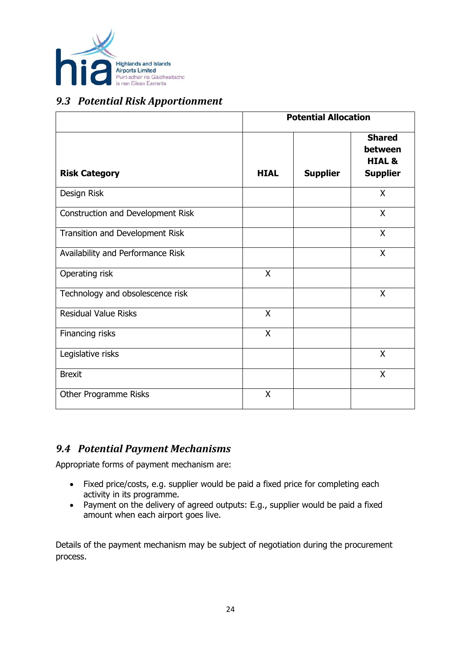

#### <span id="page-23-0"></span>*9.3 Potential Risk Apportionment*

|                                   |             | <b>Potential Allocation</b> |                                                                  |
|-----------------------------------|-------------|-----------------------------|------------------------------------------------------------------|
| <b>Risk Category</b>              | <b>HIAL</b> | <b>Supplier</b>             | <b>Shared</b><br>between<br><b>HIAL &amp;</b><br><b>Supplier</b> |
| Design Risk                       |             |                             | X                                                                |
| Construction and Development Risk |             |                             | X                                                                |
| Transition and Development Risk   |             |                             | X                                                                |
| Availability and Performance Risk |             |                             | X                                                                |
| Operating risk                    | X           |                             |                                                                  |
| Technology and obsolescence risk  |             |                             | X                                                                |
| <b>Residual Value Risks</b>       | X           |                             |                                                                  |
| Financing risks                   | X           |                             |                                                                  |
| Legislative risks                 |             |                             | X                                                                |
| <b>Brexit</b>                     |             |                             | X                                                                |
| Other Programme Risks             | Χ           |                             |                                                                  |

#### <span id="page-23-1"></span>*9.4 Potential Payment Mechanisms*

Appropriate forms of payment mechanism are:

- Fixed price/costs, e.g. supplier would be paid a fixed price for completing each activity in its programme.
- Payment on the delivery of agreed outputs: E.g., supplier would be paid a fixed amount when each airport goes live.

Details of the payment mechanism may be subject of negotiation during the procurement process.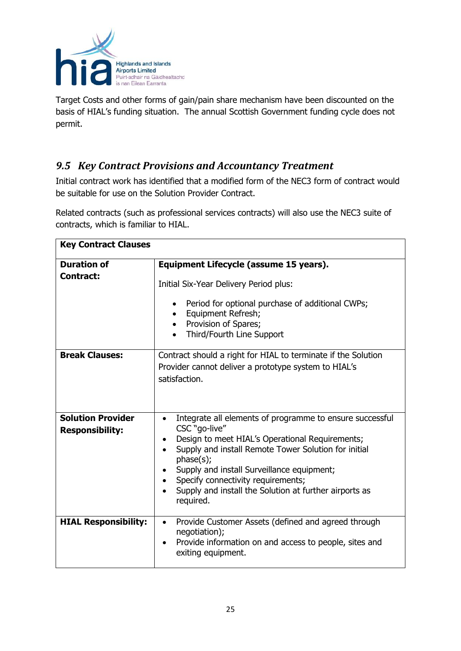

Target Costs and other forms of gain/pain share mechanism have been discounted on the basis of HIAL's funding situation. The annual Scottish Government funding cycle does not permit.

## <span id="page-24-0"></span>*9.5 Key Contract Provisions and Accountancy Treatment*

Initial contract work has identified that a modified form of the NEC3 form of contract would be suitable for use on the Solution Provider Contract.

Related contracts (such as professional services contracts) will also use the NEC3 suite of contracts, which is familiar to HIAL.

| <b>Key Contract Clauses</b>                        |                                                                                                                                                                                                                                                                                                                                                                           |  |  |  |  |  |  |  |  |  |  |  |  |
|----------------------------------------------------|---------------------------------------------------------------------------------------------------------------------------------------------------------------------------------------------------------------------------------------------------------------------------------------------------------------------------------------------------------------------------|--|--|--|--|--|--|--|--|--|--|--|--|
| <b>Duration of</b><br><b>Contract:</b>             | Equipment Lifecycle (assume 15 years).<br>Initial Six-Year Delivery Period plus:                                                                                                                                                                                                                                                                                          |  |  |  |  |  |  |  |  |  |  |  |  |
|                                                    | Period for optional purchase of additional CWPs;<br>Equipment Refresh;<br>Provision of Spares;<br>Third/Fourth Line Support                                                                                                                                                                                                                                               |  |  |  |  |  |  |  |  |  |  |  |  |
| <b>Break Clauses:</b>                              | Contract should a right for HIAL to terminate if the Solution<br>Provider cannot deliver a prototype system to HIAL's<br>satisfaction.                                                                                                                                                                                                                                    |  |  |  |  |  |  |  |  |  |  |  |  |
| <b>Solution Provider</b><br><b>Responsibility:</b> | Integrate all elements of programme to ensure successful<br>$\bullet$<br>CSC "go-live"<br>Design to meet HIAL's Operational Requirements;<br>Supply and install Remote Tower Solution for initial<br>phase(s);<br>Supply and install Surveillance equipment;<br>Specify connectivity requirements;<br>Supply and install the Solution at further airports as<br>required. |  |  |  |  |  |  |  |  |  |  |  |  |
| <b>HIAL Responsibility:</b>                        | Provide Customer Assets (defined and agreed through<br>$\bullet$<br>negotiation);<br>Provide information on and access to people, sites and<br>exiting equipment.                                                                                                                                                                                                         |  |  |  |  |  |  |  |  |  |  |  |  |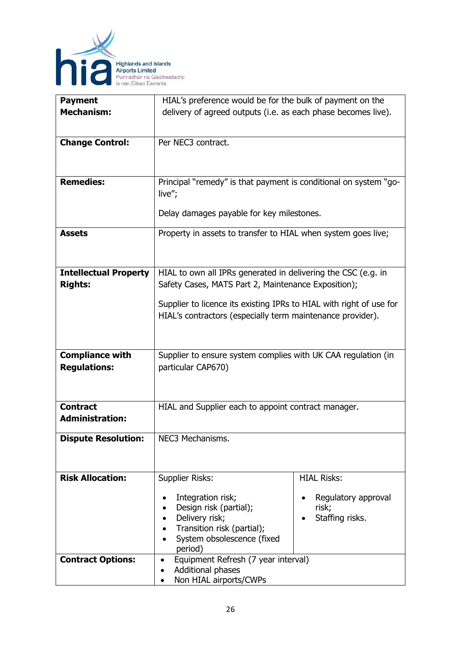

| <b>Payment</b>               | HIAL's preference would be for the bulk of payment on the           |                     |  |  |  |  |  |  |  |  |  |  |
|------------------------------|---------------------------------------------------------------------|---------------------|--|--|--|--|--|--|--|--|--|--|
| <b>Mechanism:</b>            | delivery of agreed outputs (i.e. as each phase becomes live).       |                     |  |  |  |  |  |  |  |  |  |  |
|                              |                                                                     |                     |  |  |  |  |  |  |  |  |  |  |
|                              |                                                                     |                     |  |  |  |  |  |  |  |  |  |  |
| <b>Change Control:</b>       | Per NEC3 contract.                                                  |                     |  |  |  |  |  |  |  |  |  |  |
|                              |                                                                     |                     |  |  |  |  |  |  |  |  |  |  |
|                              |                                                                     |                     |  |  |  |  |  |  |  |  |  |  |
| <b>Remedies:</b>             | Principal "remedy" is that payment is conditional on system "go-    |                     |  |  |  |  |  |  |  |  |  |  |
|                              |                                                                     |                     |  |  |  |  |  |  |  |  |  |  |
|                              | live";                                                              |                     |  |  |  |  |  |  |  |  |  |  |
|                              | Delay damages payable for key milestones.                           |                     |  |  |  |  |  |  |  |  |  |  |
|                              |                                                                     |                     |  |  |  |  |  |  |  |  |  |  |
| <b>Assets</b>                | Property in assets to transfer to HIAL when system goes live;       |                     |  |  |  |  |  |  |  |  |  |  |
|                              |                                                                     |                     |  |  |  |  |  |  |  |  |  |  |
|                              |                                                                     |                     |  |  |  |  |  |  |  |  |  |  |
| <b>Intellectual Property</b> |                                                                     |                     |  |  |  |  |  |  |  |  |  |  |
| <b>Rights:</b>               | HIAL to own all IPRs generated in delivering the CSC (e.g. in       |                     |  |  |  |  |  |  |  |  |  |  |
|                              | Safety Cases, MATS Part 2, Maintenance Exposition);                 |                     |  |  |  |  |  |  |  |  |  |  |
|                              | Supplier to licence its existing IPRs to HIAL with right of use for |                     |  |  |  |  |  |  |  |  |  |  |
|                              | HIAL's contractors (especially term maintenance provider).          |                     |  |  |  |  |  |  |  |  |  |  |
|                              |                                                                     |                     |  |  |  |  |  |  |  |  |  |  |
|                              |                                                                     |                     |  |  |  |  |  |  |  |  |  |  |
|                              |                                                                     |                     |  |  |  |  |  |  |  |  |  |  |
| <b>Compliance with</b>       | Supplier to ensure system complies with UK CAA regulation (in       |                     |  |  |  |  |  |  |  |  |  |  |
| <b>Regulations:</b>          | particular CAP670)                                                  |                     |  |  |  |  |  |  |  |  |  |  |
|                              |                                                                     |                     |  |  |  |  |  |  |  |  |  |  |
|                              |                                                                     |                     |  |  |  |  |  |  |  |  |  |  |
| <b>Contract</b>              | HIAL and Supplier each to appoint contract manager.                 |                     |  |  |  |  |  |  |  |  |  |  |
| <b>Administration:</b>       |                                                                     |                     |  |  |  |  |  |  |  |  |  |  |
|                              |                                                                     |                     |  |  |  |  |  |  |  |  |  |  |
| <b>Dispute Resolution:</b>   | NEC3 Mechanisms.                                                    |                     |  |  |  |  |  |  |  |  |  |  |
|                              |                                                                     |                     |  |  |  |  |  |  |  |  |  |  |
|                              |                                                                     |                     |  |  |  |  |  |  |  |  |  |  |
| <b>Risk Allocation:</b>      | <b>Supplier Risks:</b>                                              | <b>HIAL Risks:</b>  |  |  |  |  |  |  |  |  |  |  |
|                              |                                                                     |                     |  |  |  |  |  |  |  |  |  |  |
|                              | Integration risk;                                                   | Regulatory approval |  |  |  |  |  |  |  |  |  |  |
|                              | Design risk (partial);                                              | risk;               |  |  |  |  |  |  |  |  |  |  |
|                              | Delivery risk;                                                      | Staffing risks.     |  |  |  |  |  |  |  |  |  |  |
|                              | Transition risk (partial);                                          |                     |  |  |  |  |  |  |  |  |  |  |
|                              | System obsolescence (fixed                                          |                     |  |  |  |  |  |  |  |  |  |  |
|                              | period)                                                             |                     |  |  |  |  |  |  |  |  |  |  |
| <b>Contract Options:</b>     | Equipment Refresh (7 year interval)<br>$\bullet$                    |                     |  |  |  |  |  |  |  |  |  |  |
|                              | Additional phases<br>Non HIAL airports/CWPs                         |                     |  |  |  |  |  |  |  |  |  |  |
|                              |                                                                     |                     |  |  |  |  |  |  |  |  |  |  |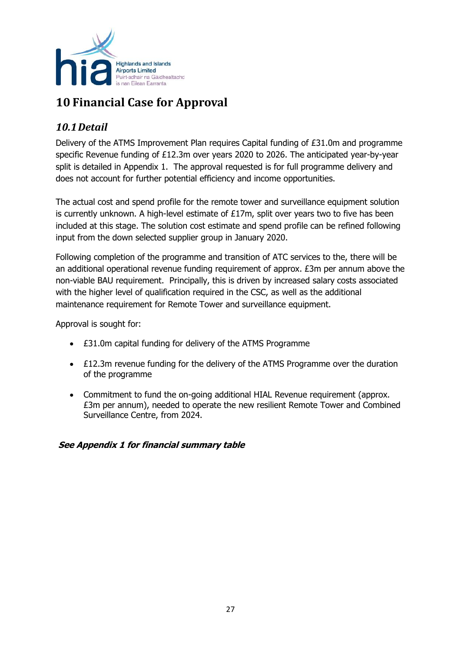

# <span id="page-26-0"></span>**10 Financial Case for Approval**

## <span id="page-26-1"></span>*10.1Detail*

Delivery of the ATMS Improvement Plan requires Capital funding of £31.0m and programme specific Revenue funding of £12.3m over years 2020 to 2026. The anticipated year-by-year split is detailed in Appendix 1. The approval requested is for full programme delivery and does not account for further potential efficiency and income opportunities.

The actual cost and spend profile for the remote tower and surveillance equipment solution is currently unknown. A high-level estimate of £17m, split over years two to five has been included at this stage. The solution cost estimate and spend profile can be refined following input from the down selected supplier group in January 2020.

Following completion of the programme and transition of ATC services to the, there will be an additional operational revenue funding requirement of approx. £3m per annum above the non-viable BAU requirement. Principally, this is driven by increased salary costs associated with the higher level of qualification required in the CSC, as well as the additional maintenance requirement for Remote Tower and surveillance equipment.

Approval is sought for:

- £31.0m capital funding for delivery of the ATMS Programme
- £12.3m revenue funding for the delivery of the ATMS Programme over the duration of the programme
- Commitment to fund the on-going additional HIAL Revenue requirement (approx. £3m per annum), needed to operate the new resilient Remote Tower and Combined Surveillance Centre, from 2024.

#### **See Appendix 1 for financial summary table**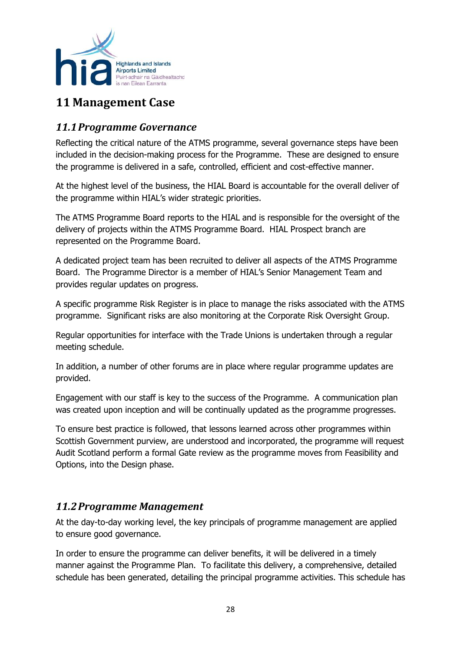

# <span id="page-27-0"></span>**11 Management Case**

#### <span id="page-27-1"></span>*11.1Programme Governance*

Reflecting the critical nature of the ATMS programme, several governance steps have been included in the decision-making process for the Programme. These are designed to ensure the programme is delivered in a safe, controlled, efficient and cost-effective manner.

At the highest level of the business, the HIAL Board is accountable for the overall deliver of the programme within HIAL's wider strategic priorities.

The ATMS Programme Board reports to the HIAL and is responsible for the oversight of the delivery of projects within the ATMS Programme Board.HIAL Prospect branch are represented on the Programme Board.

A dedicated project team has been recruited to deliver all aspects of the ATMS Programme Board. The Programme Director is a member of HIAL's Senior Management Team and provides regular updates on progress.

A specific programme Risk Register is in place to manage the risks associated with the ATMS programme. Significant risks are also monitoring at the Corporate Risk Oversight Group.

Regular opportunities for interface with the Trade Unions is undertaken through a regular meeting schedule.

In addition, a number of other forums are in place where regular programme updates are provided.

Engagement with our staff is key to the success of the Programme. A communication plan was created upon inception and will be continually updated as the programme progresses.

To ensure best practice is followed, that lessons learned across other programmes within Scottish Government purview, are understood and incorporated, the programme will request Audit Scotland perform a formal Gate review as the programme moves from Feasibility and Options, into the Design phase.

#### <span id="page-27-2"></span>*11.2Programme Management*

At the day-to-day working level, the key principals of programme management are applied to ensure good governance.

In order to ensure the programme can deliver benefits, it will be delivered in a timely manner against the Programme Plan. To facilitate this delivery, a comprehensive, detailed schedule has been generated, detailing the principal programme activities. This schedule has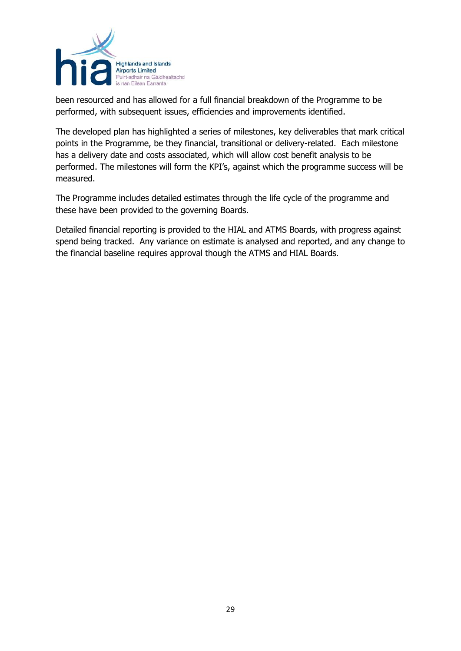

been resourced and has allowed for a full financial breakdown of the Programme to be performed, with subsequent issues, efficiencies and improvements identified.

The developed plan has highlighted a series of milestones, key deliverables that mark critical points in the Programme, be they financial, transitional or delivery-related. Each milestone has a delivery date and costs associated, which will allow cost benefit analysis to be performed. The milestones will form the KPI's, against which the programme success will be measured.

The Programme includes detailed estimates through the life cycle of the programme and these have been provided to the governing Boards.

Detailed financial reporting is provided to the HIAL and ATMS Boards, with progress against spend being tracked. Any variance on estimate is analysed and reported, and any change to the financial baseline requires approval though the ATMS and HIAL Boards.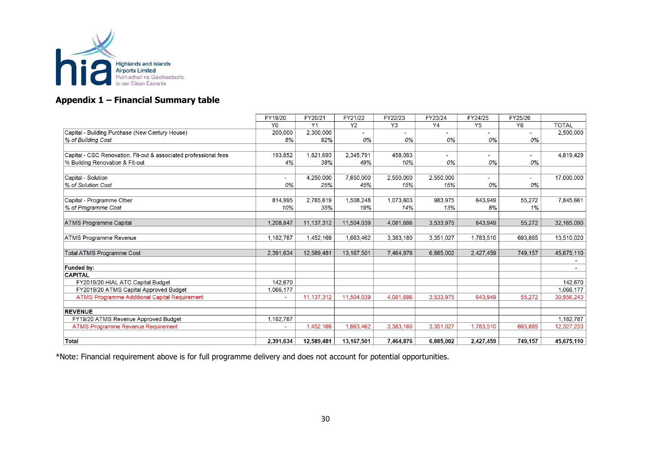

#### **Appendix 1 – Financial Summary table**

|                                                                  | FY19/20        | FY20/21        | FY21/22      | FY22/23        | FY23/24   | FY24/25   | FY25/26        |              |
|------------------------------------------------------------------|----------------|----------------|--------------|----------------|-----------|-----------|----------------|--------------|
|                                                                  | Y <sub>0</sub> | Y <sub>1</sub> | <b>Y2</b>    | Y <sub>3</sub> | Y4        | Y5        | <b>Y6</b>      | <b>TOTAL</b> |
| Capital - Building Purchase (New Century House)                  | 200,000        | 2,300,000      | $\mathbf{r}$ |                |           |           | $\sim$         | 2,500,000    |
| % of Building Cost                                               | 8%             | 92%            | 0%           | 0%             | 0%        | 0%        | 0%             |              |
|                                                                  |                |                |              |                |           |           |                |              |
| Capital - CSC Renovation, Fit-out & associated professional fees | 193,852        | 1,821,693      | 2,345,791    | 458,093        |           |           |                | 4,819,429    |
| % Building Renovation & Fit-out                                  | 4%             | 38%            | 49%          | 10%            | 0%        | 0%        | 0%             |              |
|                                                                  |                |                |              |                |           |           |                |              |
| Capital - Solution                                               | $\sim$         | 4,250,000      | 7,650,000    | 2,550,000      | 2,550,000 |           | $\blacksquare$ | 17,000,000   |
| % of Solution Cost                                               | 0%             | 25%            | 45%          | 15%            | 15%       | 0%        | 0%             |              |
|                                                                  |                |                |              |                |           |           |                |              |
| Capital - Programme Other                                        | 814,995        | 2.765.619      | 1,508,248    | 1.073.603      | 983.975   | 643,949   | 55,272         | 7.845.661    |
| % of Programme Cost                                              | 10%            | 35%            | 19%          | 14%            | 13%       | 8%        | 1%             |              |
|                                                                  |                |                |              |                |           |           |                |              |
| <b>ATMS Programme Capital</b>                                    | 1.208.847      | 11, 137, 312   | 11,504,039   | 4,081,696      | 3,533,975 | 643.949   | 55,272         | 32,165,090   |
|                                                                  |                |                |              |                |           |           |                |              |
| <b>ATMS Programme Revenue</b>                                    | 1,182,787      | 1,452,169      | 1,663,462    | 3.383.180      | 3,351,027 | 1.783,510 | 693.885        | 13,510,020   |
|                                                                  |                |                |              |                |           |           |                |              |
| <b>Total ATMS Programme Cost</b>                                 | 2,391,634      | 12,589,481     | 13,167,501   | 7,464,876      | 6,885,002 | 2,427,459 | 749,157        | 45,675,110   |
|                                                                  |                |                |              |                |           |           |                |              |
| <b>Funded by:</b>                                                |                |                |              |                |           |           |                |              |
| <b>CAPITAL</b>                                                   |                |                |              |                |           |           |                |              |
| FY2019/20 HIAL ATC Capital Budget                                | 142.670        |                |              |                |           |           |                | 142,670      |
| FY2019/20 ATMS Capital Approved Budget                           | 1,066,177      |                |              |                |           |           |                | 1,066,177    |
| <b>ATMS Programme Additional Capital Requirement</b>             |                | 11,137,312     | 11,504,039   | 4.081.696      | 3,533,975 | 643,949   | 55,272         | 30,956,243   |
| <b>REVENUE</b>                                                   |                |                |              |                |           |           |                |              |
| FY19/20 ATMS Revenue Approved Budget                             | 1,182,787      |                |              |                |           |           |                | 1,182,787    |
| <b>ATMS Programme Revenue Requirement</b>                        |                | 1,452,169      | 1,663,462    | 3.383.180      | 3,351,027 | 1,783,510 | 693.885        | 12,327,233   |
|                                                                  |                |                |              |                |           |           |                |              |
| <b>Total</b>                                                     | 2,391,634      | 12,589,481     | 13,167,501   | 7.464.876      | 6,885,002 | 2,427,459 | 749,157        | 45,675,110   |

\*Note: Financial requirement above is for full programme delivery and does not account for potential opportunities.